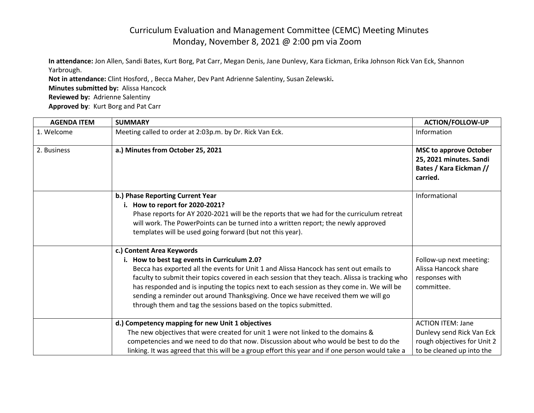## Curriculum Evaluation and Management Committee (CEMC) Meeting Minutes Monday, November 8, 2021 @ 2:00 pm via Zoom

**In attendance:** Jon Allen, Sandi Bates, Kurt Borg, Pat Carr, Megan Denis, Jane Dunlevy, Kara Eickman, Erika Johnson Rick Van Eck, Shannon Yarbrough.

**Not in attendance:** Clint Hosford, , Becca Maher, Dev Pant Adrienne Salentiny, Susan Zelewski**. Minutes submitted by:** Alissa Hancock **Reviewed by:** Adrienne Salentiny **Approved by**: Kurt Borg and Pat Carr

| <b>AGENDA ITEM</b> | <b>SUMMARY</b>                                                                                                                                                                                                                                                                                                                                                                                                                                                                                                              | <b>ACTION/FOLLOW-UP</b>                                                                                           |
|--------------------|-----------------------------------------------------------------------------------------------------------------------------------------------------------------------------------------------------------------------------------------------------------------------------------------------------------------------------------------------------------------------------------------------------------------------------------------------------------------------------------------------------------------------------|-------------------------------------------------------------------------------------------------------------------|
| 1. Welcome         | Meeting called to order at 2:03p.m. by Dr. Rick Van Eck.                                                                                                                                                                                                                                                                                                                                                                                                                                                                    | Information                                                                                                       |
| 2. Business        | a.) Minutes from October 25, 2021                                                                                                                                                                                                                                                                                                                                                                                                                                                                                           | <b>MSC to approve October</b><br>25, 2021 minutes. Sandi<br>Bates / Kara Eickman //<br>carried.                   |
|                    | b.) Phase Reporting Current Year<br>i. How to report for 2020-2021?<br>Phase reports for AY 2020-2021 will be the reports that we had for the curriculum retreat<br>will work. The PowerPoints can be turned into a written report; the newly approved<br>templates will be used going forward (but not this year).                                                                                                                                                                                                         | Informational                                                                                                     |
|                    | c.) Content Area Keywords<br>i. How to best tag events in Curriculum 2.0?<br>Becca has exported all the events for Unit 1 and Alissa Hancock has sent out emails to<br>faculty to submit their topics covered in each session that they teach. Alissa is tracking who<br>has responded and is inputing the topics next to each session as they come in. We will be<br>sending a reminder out around Thanksgiving. Once we have received them we will go<br>through them and tag the sessions based on the topics submitted. | Follow-up next meeting:<br>Alissa Hancock share<br>responses with<br>committee.                                   |
|                    | d.) Competency mapping for new Unit 1 objectives<br>The new objectives that were created for unit 1 were not linked to the domains &<br>competencies and we need to do that now. Discussion about who would be best to do the<br>linking. It was agreed that this will be a group effort this year and if one person would take a                                                                                                                                                                                           | <b>ACTION ITEM: Jane</b><br>Dunlevy send Rick Van Eck<br>rough objectives for Unit 2<br>to be cleaned up into the |